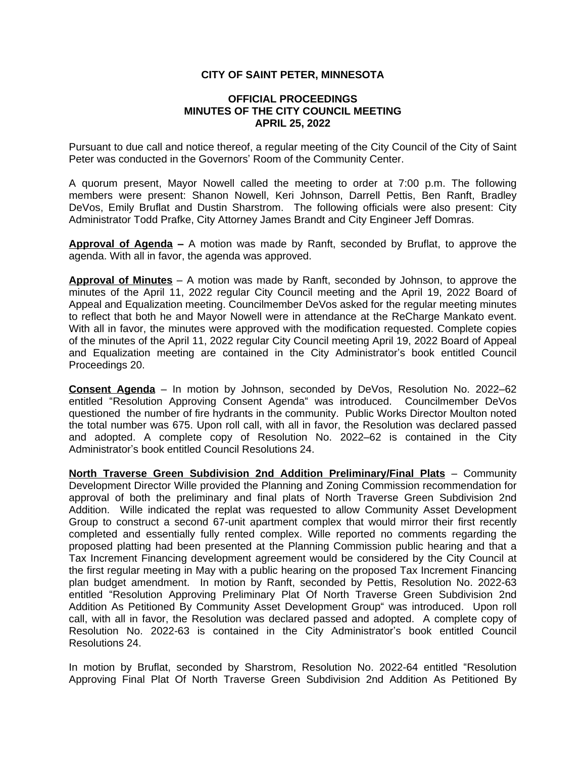## **CITY OF SAINT PETER, MINNESOTA**

## **OFFICIAL PROCEEDINGS MINUTES OF THE CITY COUNCIL MEETING APRIL 25, 2022**

Pursuant to due call and notice thereof, a regular meeting of the City Council of the City of Saint Peter was conducted in the Governors' Room of the Community Center.

A quorum present, Mayor Nowell called the meeting to order at 7:00 p.m. The following members were present: Shanon Nowell, Keri Johnson, Darrell Pettis, Ben Ranft, Bradley DeVos, Emily Bruflat and Dustin Sharstrom. The following officials were also present: City Administrator Todd Prafke, City Attorney James Brandt and City Engineer Jeff Domras.

**Approval of Agenda –** A motion was made by Ranft, seconded by Bruflat, to approve the agenda. With all in favor, the agenda was approved.

**Approval of Minutes** – A motion was made by Ranft, seconded by Johnson, to approve the minutes of the April 11, 2022 regular City Council meeting and the April 19, 2022 Board of Appeal and Equalization meeting. Councilmember DeVos asked for the regular meeting minutes to reflect that both he and Mayor Nowell were in attendance at the ReCharge Mankato event. With all in favor, the minutes were approved with the modification requested. Complete copies of the minutes of the April 11, 2022 regular City Council meeting April 19, 2022 Board of Appeal and Equalization meeting are contained in the City Administrator's book entitled Council Proceedings 20.

**Consent Agenda** – In motion by Johnson, seconded by DeVos, Resolution No. 2022–62 entitled "Resolution Approving Consent Agenda" was introduced. Councilmember DeVos questioned the number of fire hydrants in the community. Public Works Director Moulton noted the total number was 675. Upon roll call, with all in favor, the Resolution was declared passed and adopted. A complete copy of Resolution No. 2022–62 is contained in the City Administrator's book entitled Council Resolutions 24.

**North Traverse Green Subdivision 2nd Addition Preliminary/Final Plats** – Community Development Director Wille provided the Planning and Zoning Commission recommendation for approval of both the preliminary and final plats of North Traverse Green Subdivision 2nd Addition. Wille indicated the replat was requested to allow Community Asset Development Group to construct a second 67-unit apartment complex that would mirror their first recently completed and essentially fully rented complex. Wille reported no comments regarding the proposed platting had been presented at the Planning Commission public hearing and that a Tax Increment Financing development agreement would be considered by the City Council at the first regular meeting in May with a public hearing on the proposed Tax Increment Financing plan budget amendment. In motion by Ranft, seconded by Pettis, Resolution No. 2022-63 entitled "Resolution Approving Preliminary Plat Of North Traverse Green Subdivision 2nd Addition As Petitioned By Community Asset Development Group" was introduced. Upon roll call, with all in favor, the Resolution was declared passed and adopted. A complete copy of Resolution No. 2022-63 is contained in the City Administrator's book entitled Council Resolutions 24.

In motion by Bruflat, seconded by Sharstrom, Resolution No. 2022-64 entitled "Resolution Approving Final Plat Of North Traverse Green Subdivision 2nd Addition As Petitioned By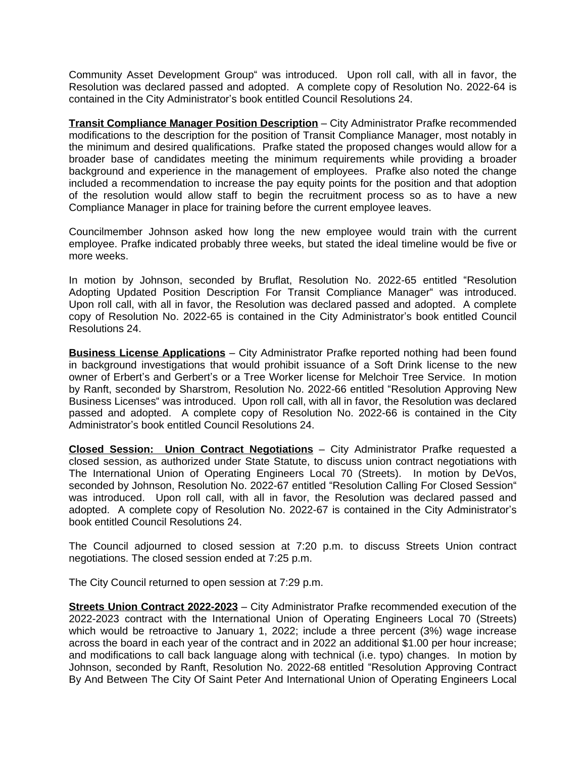Community Asset Development Group" was introduced. Upon roll call, with all in favor, the Resolution was declared passed and adopted. A complete copy of Resolution No. 2022-64 is contained in the City Administrator's book entitled Council Resolutions 24.

**Transit Compliance Manager Position Description** – City Administrator Prafke recommended modifications to the description for the position of Transit Compliance Manager, most notably in the minimum and desired qualifications. Prafke stated the proposed changes would allow for a broader base of candidates meeting the minimum requirements while providing a broader background and experience in the management of employees. Prafke also noted the change included a recommendation to increase the pay equity points for the position and that adoption of the resolution would allow staff to begin the recruitment process so as to have a new Compliance Manager in place for training before the current employee leaves.

Councilmember Johnson asked how long the new employee would train with the current employee. Prafke indicated probably three weeks, but stated the ideal timeline would be five or more weeks.

In motion by Johnson, seconded by Bruflat, Resolution No. 2022-65 entitled "Resolution Adopting Updated Position Description For Transit Compliance Manager" was introduced. Upon roll call, with all in favor, the Resolution was declared passed and adopted. A complete copy of Resolution No. 2022-65 is contained in the City Administrator's book entitled Council Resolutions 24.

**Business License Applications** – City Administrator Prafke reported nothing had been found in background investigations that would prohibit issuance of a Soft Drink license to the new owner of Erbert's and Gerbert's or a Tree Worker license for Melchoir Tree Service. In motion by Ranft, seconded by Sharstrom, Resolution No. 2022-66 entitled "Resolution Approving New Business Licenses" was introduced. Upon roll call, with all in favor, the Resolution was declared passed and adopted. A complete copy of Resolution No. 2022-66 is contained in the City Administrator's book entitled Council Resolutions 24.

**Closed Session: Union Contract Negotiations** – City Administrator Prafke requested a closed session, as authorized under State Statute, to discuss union contract negotiations with The International Union of Operating Engineers Local 70 (Streets). In motion by DeVos, seconded by Johnson, Resolution No. 2022-67 entitled "Resolution Calling For Closed Session" was introduced. Upon roll call, with all in favor, the Resolution was declared passed and adopted. A complete copy of Resolution No. 2022-67 is contained in the City Administrator's book entitled Council Resolutions 24.

The Council adjourned to closed session at 7:20 p.m. to discuss Streets Union contract negotiations. The closed session ended at 7:25 p.m.

The City Council returned to open session at 7:29 p.m.

**Streets Union Contract 2022-2023** – City Administrator Prafke recommended execution of the 2022-2023 contract with the International Union of Operating Engineers Local 70 (Streets) which would be retroactive to January 1, 2022; include a three percent (3%) wage increase across the board in each year of the contract and in 2022 an additional \$1.00 per hour increase; and modifications to call back language along with technical (i.e. typo) changes. In motion by Johnson, seconded by Ranft, Resolution No. 2022-68 entitled "Resolution Approving Contract By And Between The City Of Saint Peter And International Union of Operating Engineers Local